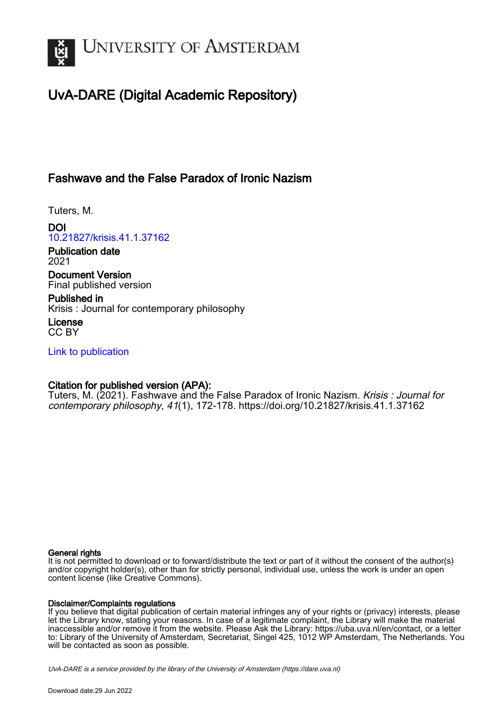

## UvA-DARE (Digital Academic Repository)

### Fashwave and the False Paradox of Ironic Nazism

Tuters, M.

DOI [10.21827/krisis.41.1.37162](https://doi.org/10.21827/krisis.41.1.37162)

Publication date 2021

Document Version Final published version

Published in Krisis : Journal for contemporary philosophy

License CC BY

[Link to publication](https://dare.uva.nl/personal/pure/en/publications/fashwave-and-the-false-paradox-of-ironic-nazism(49a2dee2-b896-418d-826c-15aaa136a8ed).html)

### Citation for published version (APA):

Tuters, M. (2021). Fashwave and the False Paradox of Ironic Nazism. Krisis : Journal for contemporary philosophy, 41(1), 172-178.<https://doi.org/10.21827/krisis.41.1.37162>

#### General rights

It is not permitted to download or to forward/distribute the text or part of it without the consent of the author(s) and/or copyright holder(s), other than for strictly personal, individual use, unless the work is under an open content license (like Creative Commons).

#### Disclaimer/Complaints regulations

If you believe that digital publication of certain material infringes any of your rights or (privacy) interests, please let the Library know, stating your reasons. In case of a legitimate complaint, the Library will make the material inaccessible and/or remove it from the website. Please Ask the Library: https://uba.uva.nl/en/contact, or a letter to: Library of the University of Amsterdam, Secretariat, Singel 425, 1012 WP Amsterdam, The Netherlands. You will be contacted as soon as possible.

UvA-DARE is a service provided by the library of the University of Amsterdam (http*s*://dare.uva.nl)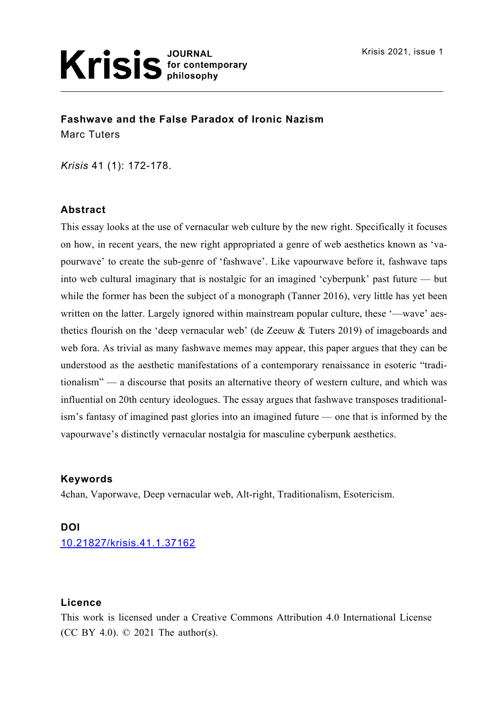**Fashwave and the False Paradox of Ironic Nazism** Marc Tuters

*Krisis* 41 (1): 172-178.

### **Abstract**

This essay looks at the use of vernacular web culture by the new right. Specifically it focuses on how, in recent years, the new right appropriated a genre of web aesthetics known as 'vapourwave' to create the sub-genre of 'fashwave'. Like vapourwave before it, fashwave taps into web cultural imaginary that is nostalgic for an imagined 'cyberpunk' past future — but while the former has been the subject of a monograph (Tanner 2016), very little has yet been written on the latter. Largely ignored within mainstream popular culture, these '—wave' aesthetics flourish on the 'deep vernacular web' (de Zeeuw & Tuters 2019) of imageboards and web fora. As trivial as many fashwave memes may appear, this paper argues that they can be understood as the aesthetic manifestations of a contemporary renaissance in esoteric "traditionalism" — a discourse that posits an alternative theory of western culture, and which was influential on 20th century ideologues. The essay argues that fashwave transposes traditionalism's fantasy of imagined past glories into an imagined future — one that is informed by the vapourwave's distinctly vernacular nostalgia for masculine cyberpunk aesthetics.

### **Keywords**

4chan, Vaporwave, Deep vernacular web, Alt-right, Traditionalism, Esotericism.

#### **DOI**

10.21827/krisis.41.1.37162

#### **Licence**

This work is licensed under a Creative Commons Attribution 4.0 International License ([CC BY 4.0](https://creativecommons.org/licenses/by/4.0/)). © 2021 The author(s).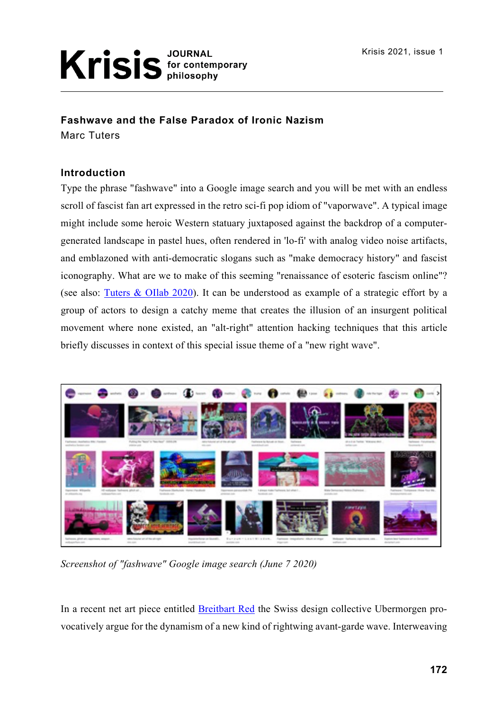### **Fashwave and the False Paradox of Ironic Nazism**

Marc Tuters

### **Introduction**

Type the phrase "fashwave" into a Google image search and you will be met with an endless scroll of fascist fan art expressed in the retro sci-fi pop idiom of "vaporwave". A typical image might include some heroic Western statuary juxtaposed against the backdrop of a computergenerated landscape in pastel hues, often rendered in 'lo-fi' with analog video noise artifacts, and emblazoned with anti-democratic slogans such as "make democracy history" and fascist iconography. What are we to make of this seeming "renaissance of esoteric fascism online"? (see also: Tuters & OIlab 2020). It can be understood as example of a strategic effort by a group of actors to design a catchy meme that creates the illusion of an insurgent political movement where none existed, an "alt-right" attention hacking techniques that this article briefly discusses in context of this special issue theme of a "new right wave".



*Screenshot of "fashwave" Google image search (June 7 2020)*

In a recent net art piece entitled Breitbart Red the Swiss design collective Ubermorgen provocatively argue for the dynamism of a new kind of rightwing avant-garde wave. Interweaving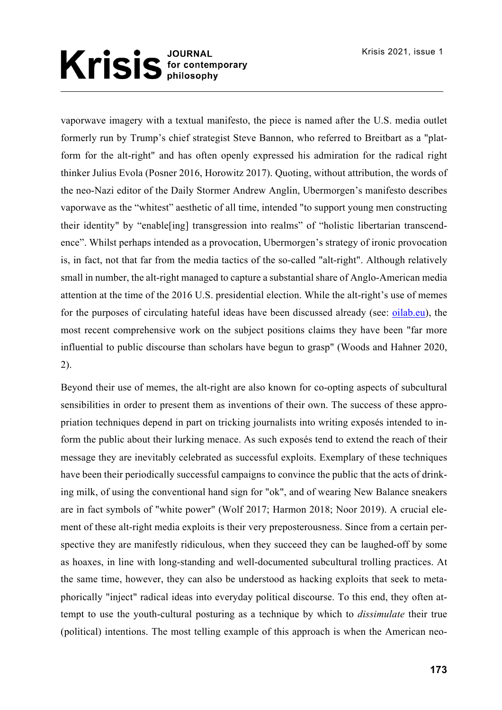vaporwave imagery with a textual manifesto, the piece is named after the U.S. media outlet formerly run by Trump's chief strategist Steve Bannon, who referred to Breitbart as a "platform for the alt-right" and has often openly expressed his admiration for the radical right thinker Julius Evola (Posner 2016, Horowitz 2017). Quoting, without attribution, the words of the neo-Nazi editor of the Daily Stormer Andrew Anglin, Ubermorgen's manifesto describes vaporwave as the "whitest" aesthetic of all time, intended "to support young men constructing their identity" by "enable[ing] transgression into realms" of "holistic libertarian transcendence". Whilst perhaps intended as a provocation, Ubermorgen's strategy of ironic provocation is, in fact, not that far from the media tactics of the so-called "alt-right". Although relatively small in number, the alt-right managed to capture a substantial share of Anglo-American media attention at the time of the 2016 U.S. presidential election. While the alt-right's use of memes for the purposes of circulating hateful ideas have been discussed already (see: oilab.eu), the most recent comprehensive work on the subject positions claims they have been "far more influential to public discourse than scholars have begun to grasp" (Woods and Hahner 2020, 2).

Beyond their use of memes, the alt-right are also known for co-opting aspects of subcultural sensibilities in order to present them as inventions of their own. The success of these appropriation techniques depend in part on tricking journalists into writing exposés intended to inform the public about their lurking menace. As such exposés tend to extend the reach of their message they are inevitably celebrated as successful exploits. Exemplary of these techniques have been their periodically successful campaigns to convince the public that the acts of drinking milk, of using the conventional hand sign for "ok", and of wearing New Balance sneakers are in fact symbols of "white power" (Wolf 2017; Harmon 2018; Noor 2019). A crucial element of these alt-right media exploits is their very preposterousness. Since from a certain perspective they are manifestly ridiculous, when they succeed they can be laughed-off by some as hoaxes, in line with long-standing and well-documented subcultural trolling practices. At the same time, however, they can also be understood as hacking exploits that seek to metaphorically "inject" radical ideas into everyday political discourse. To this end, they often attempt to use the youth-cultural posturing as a technique by which to *dissimulate* their true (political) intentions. The most telling example of this approach is when the American neo-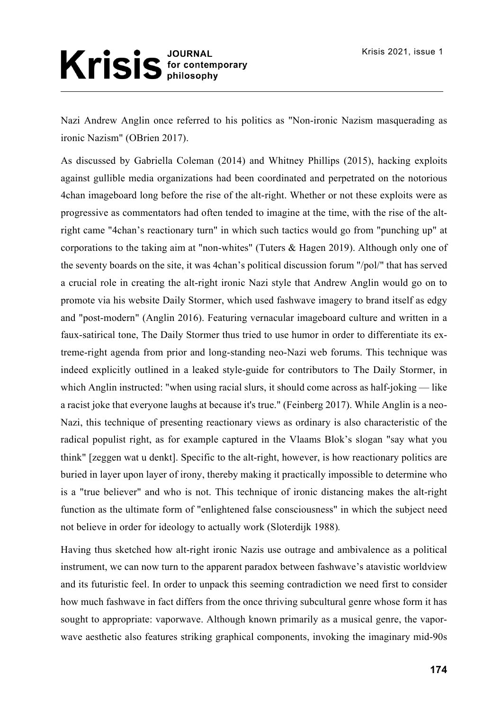# Krisis<sup>JOURNAL</sup><br>Milosophy

Nazi Andrew Anglin once referred to his politics as "Non-ironic Nazism masquerading as ironic Nazism" (OBrien 2017).

As discussed by Gabriella Coleman (2014) and Whitney Phillips (2015), hacking exploits against gullible media organizations had been coordinated and perpetrated on the notorious 4chan imageboard long before the rise of the alt-right. Whether or not these exploits were as progressive as commentators had often tended to imagine at the time, with the rise of the altright came "4chan's reactionary turn" in which such tactics would go from "punching up" at corporations to the taking aim at "non-whites" (Tuters & Hagen 2019). Although only one of the seventy boards on the site, it was 4chan's political discussion forum "/pol/" that has served a crucial role in creating the alt-right ironic Nazi style that Andrew Anglin would go on to promote via his website Daily Stormer, which used fashwave imagery to brand itself as edgy and "post-modern" (Anglin 2016). Featuring vernacular imageboard culture and written in a faux-satirical tone, The Daily Stormer thus tried to use humor in order to differentiate its extreme-right agenda from prior and long-standing neo-Nazi web forums. This technique was indeed explicitly outlined in a leaked style-guide for contributors to The Daily Stormer, in which Anglin instructed: "when using racial slurs, it should come across as half-joking — like a racist joke that everyone laughs at because it's true." (Feinberg 2017). While Anglin is a neo-Nazi, this technique of presenting reactionary views as ordinary is also characteristic of the radical populist right, as for example captured in the Vlaams Blok's slogan "say what you think" [zeggen wat u denkt]. Specific to the alt-right, however, is how reactionary politics are buried in layer upon layer of irony, thereby making it practically impossible to determine who is a "true believer" and who is not. This technique of ironic distancing makes the alt-right function as the ultimate form of "enlightened false consciousness" in which the subject need not believe in order for ideology to actually work (Sloterdijk 1988)*.*

Having thus sketched how alt-right ironic Nazis use outrage and ambivalence as a political instrument, we can now turn to the apparent paradox between fashwave's atavistic worldview and its futuristic feel. In order to unpack this seeming contradiction we need first to consider how much fashwave in fact differs from the once thriving subcultural genre whose form it has sought to appropriate: vaporwave. Although known primarily as a musical genre, the vaporwave aesthetic also features striking graphical components, invoking the imaginary mid-90s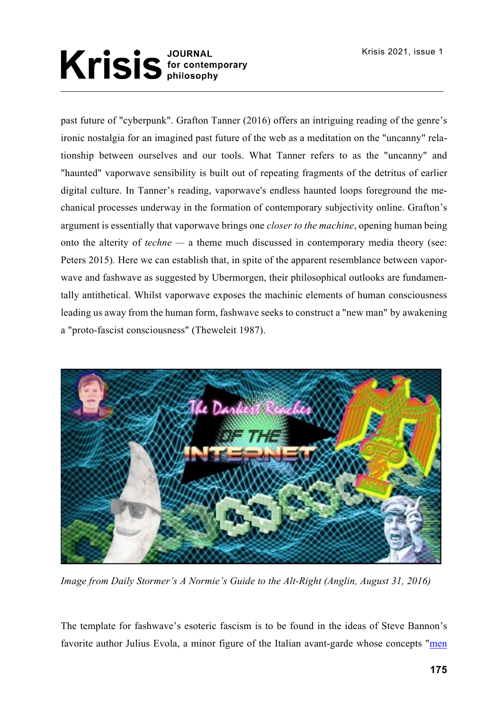# Krisis for contemporary

past future of "cyberpunk". Grafton Tanner (2016) offers an intriguing reading of the genre's ironic nostalgia for an imagined past future of the web as a meditation on the "uncanny" relationship between ourselves and our tools. What Tanner refers to as the "uncanny" and "haunted" vaporwave sensibility is built out of repeating fragments of the detritus of earlier digital culture. In Tanner's reading, vaporwave's endless haunted loops foreground the mechanical processes underway in the formation of contemporary subjectivity online. Grafton's argument is essentially that vaporwave brings one *closer to the machine*, opening human being onto the alterity of *techne —* a theme much discussed in contemporary media theory (see: Peters 2015). Here we can establish that, in spite of the apparent resemblance between vaporwave and fashwave as suggested by Ubermorgen, their philosophical outlooks are fundamentally antithetical. Whilst vaporwave exposes the machinic elements of human consciousness leading us away from the human form, fashwave seeks to construct a "new man" by awakening a "proto-fascist consciousness" (Theweleit 1987).



*Image from Daily Stormer's A Normie's Guide to the Alt-Right (Anglin, August 31, 2016)*

The template for fashwave's esoteric fascism is to be found in the ideas of Steve Bannon's favorite author Julius Evola, a minor figure of the Italian avant-garde whose concepts "men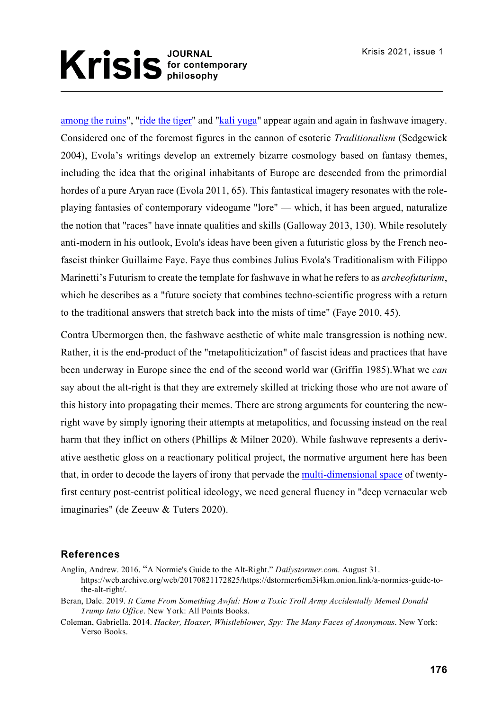among the ruins", "ride the tiger" and "kali yuga" appear again and again in fashwave imagery. Considered one of the foremost figures in the cannon of esoteric *Traditionalism* (Sedgewick 2004), Evola's writings develop an extremely bizarre cosmology based on fantasy themes, including the idea that the original inhabitants of Europe are descended from the primordial hordes of a pure Aryan race (Evola 2011, 65). This fantastical imagery resonates with the roleplaying fantasies of contemporary videogame "lore" — which, it has been argued, naturalize the notion that "races" have innate qualities and skills (Galloway 2013, 130). While resolutely anti-modern in his outlook, Evola's ideas have been given a futuristic gloss by the French neofascist thinker Guillaime Faye. Faye thus combines Julius Evola's Traditionalism with Filippo Marinetti's Futurism to create the template for fashwave in what he refers to as *archeofuturism*, which he describes as a "future society that combines techno-scientific progress with a return to the traditional answers that stretch back into the mists of time" (Faye 2010, 45).

Contra Ubermorgen then, the fashwave aesthetic of white male transgression is nothing new. Rather, it is the end-product of the "metapoliticization" of fascist ideas and practices that have been underway in Europe since the end of the second world war (Griffin 1985).What we *can* say about the alt-right is that they are extremely skilled at tricking those who are not aware of this history into propagating their memes. There are strong arguments for countering the newright wave by simply ignoring their attempts at metapolitics, and focussing instead on the real harm that they inflict on others (Phillips & Milner 2020). While fashwave represents a derivative aesthetic gloss on a reactionary political project, the normative argument here has been that, in order to decode the layers of irony that pervade the multi-dimensional space of twentyfirst century post-centrist political ideology, we need general fluency in "deep vernacular web imaginaries" (de Zeeuw & Tuters 2020).

### **References**

Anglin, Andrew. 2016. "A Normie's Guide to the Alt-Right." *Dailystormer.com*. August 31.

https://web.archive.org/web/20170821172825/https://dstormer6em3i4km.onion.link/a-normies-guide-tothe-alt-right/.

- Beran, Dale. 2019. *It Came From Something Awful: How a Toxic Troll Army Accidentally Memed Donald Trump Into Office*. New York: All Points Books.
- Coleman, Gabriella. 2014. *Hacker, Hoaxer, Whistleblower, Spy: The Many Faces of Anonymous*. New York: Verso Books.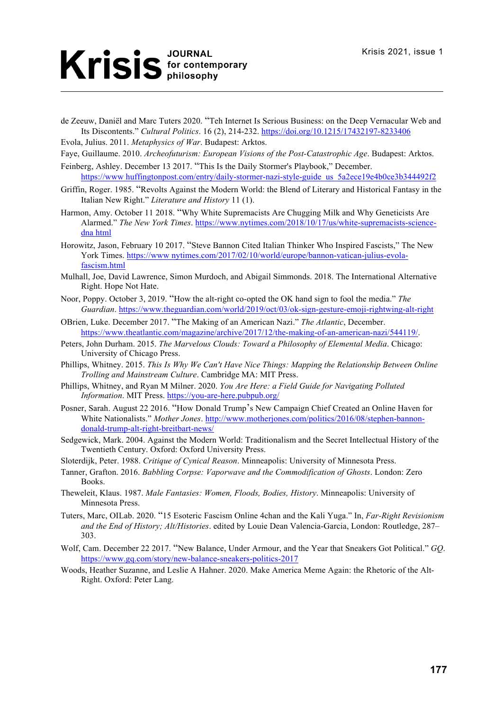de Zeeuw, Daniël and Marc Tuters 2020. "Teh Internet Is Serious Business: on the Deep Vernacular Web and Its Discontents." *Cultural Politics*. 16 (2), 214-232. https://doi.org/10.1215/17432197-8233406

Evola, Julius. 2011. *Metaphysics of War*. Budapest: Arktos.

Faye, Guillaume. 2010. *Archeofuturism: European Visions of the Post-Catastrophic Age*. Budapest: Arktos.

- Feinberg, Ashley. December 13 2017. "This Is the Daily Stormer's Playbook," December. https://www huffingtonpost.com/entry/daily-stormer-nazi-style-guide us 5a2ece19e4b0ce3b344492f2
- Griffin, Roger. 1985. "Revolts Against the Modern World: the Blend of Literary and Historical Fantasy in the Italian New Right." *Literature and History* 11 (1).
- Harmon, Amy. October 11 2018. "Why White Supremacists Are Chugging Milk and Why Geneticists Are Alarmed." *The New York Times*. https://www.nytimes.com/2018/10/17/us/white-supremacists-sciencedna html
- Horowitz, Jason, February 10 2017. "Steve Bannon Cited Italian Thinker Who Inspired Fascists," The New York Times. https://www nytimes.com/2017/02/10/world/europe/bannon-vatican-julius-evolafascism.html
- Mulhall, Joe, David Lawrence, Simon Murdoch, and Abigail Simmonds. 2018. The International Alternative Right. Hope Not Hate.
- Noor, Poppy. October 3, 2019. "How the alt-right co-opted the OK hand sign to fool the media." *The Guardian*. https://www.theguardian.com/world/2019/oct/03/ok-sign-gesture-emoji-rightwing-alt-right
- OBrien, Luke. December 2017. "The Making of an American Nazi." *The Atlantic*, December. https://www.theatlantic.com/magazine/archive/2017/12/the-making-of-an-american-nazi/544119/.
- Peters, John Durham. 2015. *The Marvelous Clouds: Toward a Philosophy of Elemental Media*. Chicago: University of Chicago Press.
- Phillips, Whitney. 2015. *This Is Why We Can't Have Nice Things: Mapping the Relationship Between Online Trolling and Mainstream Culture*. Cambridge MA: MIT Press.
- Phillips, Whitney, and Ryan M Milner. 2020. *You Are Here: a Field Guide for Navigating Polluted Information*. MIT Press. https://you-are-here.pubpub.org/
- Posner, Sarah. August 22 2016. "How Donald Trump's New Campaign Chief Created an Online Haven for White Nationalists." *Mother Jones*. http://www.motherjones.com/politics/2016/08/stephen-bannondonald-trump-alt-right-breitbart-news/
- Sedgewick, Mark. 2004. Against the Modern World: Traditionalism and the Secret Intellectual History of the Twentieth Century. Oxford: Oxford University Press.

Sloterdijk, Peter. 1988. *Critique of Cynical Reason*. Minneapolis: University of Minnesota Press.

- Tanner, Grafton. 2016. *Babbling Corpse: Vaporwave and the Commodification of Ghosts*. London: Zero Books.
- Theweleit, Klaus. 1987. *Male Fantasies: Women, Floods, Bodies, History*. Minneapolis: University of Minnesota Press.
- Tuters, Marc, OILab. 2020. "15 Esoteric Fascism Online 4chan and the Kali Yuga." In, *Far-Right Revisionism and the End of History; Alt/Histories*. edited by Louie Dean Valencia-Garcia, London: Routledge, 287– 303.
- Wolf, Cam. December 22 2017. "New Balance, Under Armour, and the Year that Sneakers Got Political." *GQ*. https://www.gq.com/story/new-balance-sneakers-politics-2017
- Woods, Heather Suzanne, and Leslie A Hahner. 2020. Make America Meme Again: the Rhetoric of the Alt-Right. Oxford: Peter Lang.